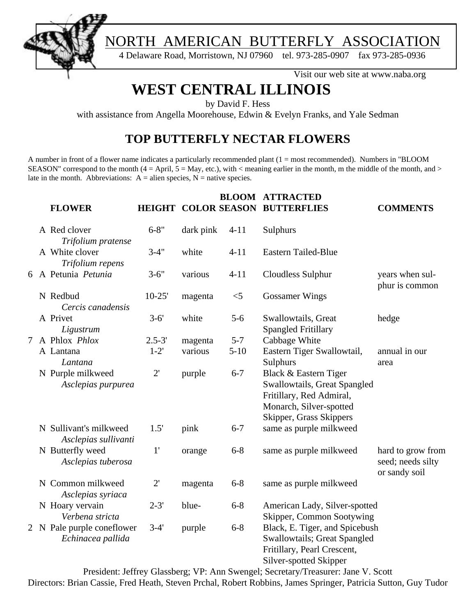

4 Delaware Road, Morristown, NJ 07960 tel. 973-285-0907 fax 973-285-0936

Visit our web site at www.naba.org

# **WEST CENTRAL ILLINOIS**

by David F. Hess

with assistance from Angella Moorehouse, Edwin & Evelyn Franks, and Yale Sedman

### **TOP BUTTERFLY NECTAR FLOWERS**

A number in front of a flower name indicates a particularly recommended plant (1 = most recommended). Numbers in "BLOOM SEASON" correspond to the month  $(4 = April, 5 = May, etc.)$ , with  $\lt$  meaning earlier in the month, m the middle of the month, and  $\gt$ late in the month. Abbreviations:  $A =$  alien species,  $N =$  native species.

|   | <b>FLOWER</b>                                   |              |           |          | <b>BLOOM ATTRACTED</b><br><b>HEIGHT COLOR SEASON BUTTERFLIES</b>                                                                        | <b>COMMENTS</b>                                         |
|---|-------------------------------------------------|--------------|-----------|----------|-----------------------------------------------------------------------------------------------------------------------------------------|---------------------------------------------------------|
|   | A Red clover<br>Trifolium pratense              | $6 - 8"$     | dark pink | $4 - 11$ | Sulphurs                                                                                                                                |                                                         |
|   | A White clover<br>Trifolium repens              | $3-4"$       | white     | $4 - 11$ | <b>Eastern Tailed-Blue</b>                                                                                                              |                                                         |
|   | 6 A Petunia Petunia                             | $3 - 6"$     | various   | $4 - 11$ | Cloudless Sulphur                                                                                                                       | years when sul-<br>phur is common                       |
|   | N Redbud<br>Cercis canadensis                   | $10-25'$     | magenta   | $<$ 5    | <b>Gossamer Wings</b>                                                                                                                   |                                                         |
|   | A Privet<br>Ligustrum                           | $3 - 6'$     | white     | $5 - 6$  | Swallowtails, Great<br><b>Spangled Fritillary</b>                                                                                       | hedge                                                   |
| 7 | A Phlox Phlox                                   | $2.5 - 3'$   | magenta   | $5 - 7$  | Cabbage White                                                                                                                           |                                                         |
|   | A Lantana<br>Lantana                            | $1-2'$       | various   | $5 - 10$ | Eastern Tiger Swallowtail,<br>Sulphurs                                                                                                  | annual in our<br>area                                   |
|   | N Purple milkweed<br>Asclepias purpurea         | $2^{\prime}$ | purple    | $6 - 7$  | Black & Eastern Tiger<br>Swallowtails, Great Spangled<br>Fritillary, Red Admiral,<br>Monarch, Silver-spotted<br>Skipper, Grass Skippers |                                                         |
|   | N Sullivant's milkweed<br>Asclepias sullivanti  | 1.5'         | pink      | $6 - 7$  | same as purple milkweed                                                                                                                 |                                                         |
|   | N Butterfly weed<br>Asclepias tuberosa          | 1'           | orange    | $6 - 8$  | same as purple milkweed                                                                                                                 | hard to grow from<br>seed; needs silty<br>or sandy soil |
|   | N Common milkweed<br>Asclepias syriaca          | $2^{\prime}$ | magenta   | $6 - 8$  | same as purple milkweed                                                                                                                 |                                                         |
|   | N Hoary vervain<br>Verbena stricta              | $2 - 3'$     | blue-     | $6 - 8$  | American Lady, Silver-spotted<br>Skipper, Common Sootywing                                                                              |                                                         |
|   | 2 N Pale purple coneflower<br>Echinacea pallida | $3-4'$       | purple    | $6 - 8$  | Black, E. Tiger, and Spicebush<br><b>Swallowtails; Great Spangled</b><br>Fritillary, Pearl Crescent,<br>Silver-spotted Skipper          |                                                         |

President: Jeffrey Glassberg; VP: Ann Swengel; Secretary/Treasurer: Jane V. Scott Directors: Brian Cassie, Fred Heath, Steven Prchal, Robert Robbins, James Springer, Patricia Sutton, Guy Tudor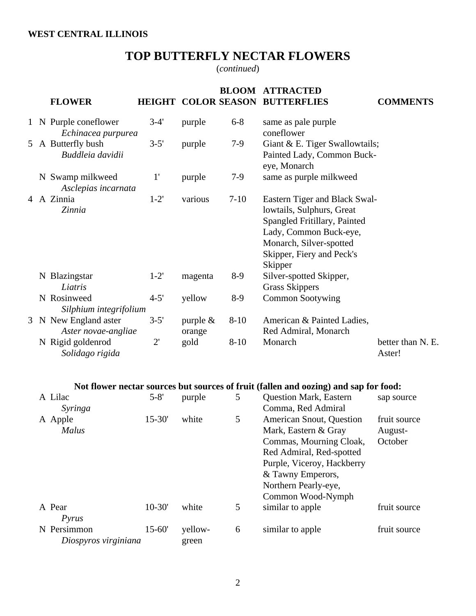### **TOP BUTTERFLY NECTAR FLOWERS**

(*continued*)

|   | <b>FLOWER</b>                               |              |                       |          | <b>BLOOM ATTRACTED</b><br>HEIGHT COLOR SEASON BUTTERFLIES                                                                                                                               | <b>COMMENTS</b>                    |
|---|---------------------------------------------|--------------|-----------------------|----------|-----------------------------------------------------------------------------------------------------------------------------------------------------------------------------------------|------------------------------------|
|   | 1 N Purple coneflower<br>Echinacea purpurea | $3-4'$       | purple                | $6 - 8$  | same as pale purple<br>coneflower                                                                                                                                                       |                                    |
|   | 5 A Butterfly bush<br>Buddleia davidii      | $3 - 5'$     | purple                | $7-9$    | Giant & E. Tiger Swallowtails;<br>Painted Lady, Common Buck-<br>eye, Monarch                                                                                                            |                                    |
|   | N Swamp milkweed<br>Asclepias incarnata     | 1'           | purple                | $7-9$    | same as purple milkweed                                                                                                                                                                 |                                    |
|   | 4 A Zinnia<br>Zinnia                        | $1-2'$       | various               | $7 - 10$ | Eastern Tiger and Black Swal-<br>lowtails, Sulphurs, Great<br>Spangled Fritillary, Painted<br>Lady, Common Buck-eye,<br>Monarch, Silver-spotted<br>Skipper, Fiery and Peck's<br>Skipper |                                    |
|   | N Blazingstar<br>Liatris                    | $1 - 2'$     | magenta               | $8-9$    | Silver-spotted Skipper,<br><b>Grass Skippers</b>                                                                                                                                        |                                    |
|   | N Rosinweed<br>Silphium integrifolium       | $4 - 5'$     | yellow                | $8-9$    | <b>Common Sootywing</b>                                                                                                                                                                 |                                    |
| 3 | N New England aster<br>Aster novae-angliae  | $3 - 5'$     | purple $\&$<br>orange | $8 - 10$ | American & Painted Ladies,<br>Red Admiral, Monarch                                                                                                                                      |                                    |
|   | N Rigid goldenrod<br>Solidago rigida        | $2^{\prime}$ | gold                  | $8 - 10$ | Monarch                                                                                                                                                                                 | better than N. E.<br>Aster!        |
|   |                                             |              |                       |          | Not flower nectar sources but sources of fruit (fallen and oozing) and sap for food:                                                                                                    |                                    |
|   | A Lilac<br>Syringa                          | $5 - 8'$     | purple                | 5        | <b>Question Mark, Eastern</b><br>Comma, Red Admiral                                                                                                                                     | sap source                         |
|   | A Apple<br>Malus                            | $15 - 30'$   | white                 | 5        | American Snout, Question<br>Mark, Eastern & Gray<br>Commas, Mourning Cloak,<br>Red Admiral, Red-spotted<br>Purple, Viceroy, Hackberry<br>& Tawny Emperors,                              | fruit source<br>August-<br>October |

| fruit source |
|--------------|
|              |
|              |
| fruit source |
|              |
|              |

Northern Pearly-eye,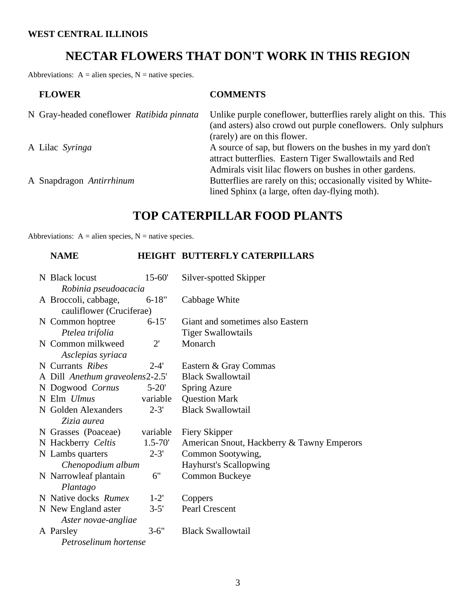#### **WEST CENTRAL ILLINOIS**

### **NECTAR FLOWERS THAT DON'T WORK IN THIS REGION**

Abbreviations:  $A =$  alien species,  $N =$  native species.

| <b>FLOWER</b>                             | <b>COMMENTS</b>                                                                                                                                                              |
|-------------------------------------------|------------------------------------------------------------------------------------------------------------------------------------------------------------------------------|
| N Gray-headed coneflower Ratibida pinnata | Unlike purple coneflower, butterflies rarely alight on this. This<br>(and asters) also crowd out purple coneflowers. Only sulphurs<br>(rarely) are on this flower.           |
| A Lilac Syringa                           | A source of sap, but flowers on the bushes in my yard don't<br>attract butterflies. Eastern Tiger Swallowtails and Red                                                       |
| A Snapdragon Antirrhinum                  | Admirals visit lilac flowers on bushes in other gardens.<br>Butterflies are rarely on this; occasionally visited by White-<br>lined Sphinx (a large, often day-flying moth). |

### **TOP CATERPILLAR FOOD PLANTS**

Abbreviations:  $A =$  alien species,  $N =$  native species.

#### **NAME HEIGHT BUTTERFLY CATERPILLARS**

| N Black locust                  | $15 - 60'$   | Silver-spotted Skipper                     |
|---------------------------------|--------------|--------------------------------------------|
| Robinia pseudoacacia            |              |                                            |
| A Broccoli, cabbage,            | $6 - 18"$    | Cabbage White                              |
| cauliflower (Cruciferae)        |              |                                            |
| N Common hoptree                | $6 - 15'$    | Giant and sometimes also Eastern           |
| Ptelea trifolia                 |              | <b>Tiger Swallowtails</b>                  |
| N Common milkweed               | $2^{\prime}$ | Monarch                                    |
| Asclepias syriaca               |              |                                            |
| N Currants Ribes                | $2 - 4'$     | Eastern & Gray Commas                      |
| A Dill Anethum graveolens2-2.5' |              | <b>Black Swallowtail</b>                   |
| N Dogwood Cornus                | $5 - 20'$    | Spring Azure                               |
| N Elm Ulmus                     | variable     | <b>Question Mark</b>                       |
| N Golden Alexanders             | $2 - 3'$     | <b>Black Swallowtail</b>                   |
| Zizia aurea                     |              |                                            |
| N Grasses (Poaceae)             | variable     | Fiery Skipper                              |
| N Hackberry Celtis              | $1.5 - 70'$  | American Snout, Hackberry & Tawny Emperors |
| N Lambs quarters                | $2 - 3'$     | Common Sootywing,                          |
| Chenopodium album               |              | <b>Hayhurst's Scallopwing</b>              |
| N Narrowleaf plantain           | 6"           | Common Buckeye                             |
| Plantago                        |              |                                            |
| N Native docks Rumex            | $1-2'$       | Coppers                                    |
| N New England aster             | $3 - 5'$     | Pearl Crescent                             |
| Aster novae-angliae             |              |                                            |
| A Parsley                       | $3 - 6"$     | <b>Black Swallowtail</b>                   |
| Petroselinum hortense           |              |                                            |
|                                 |              |                                            |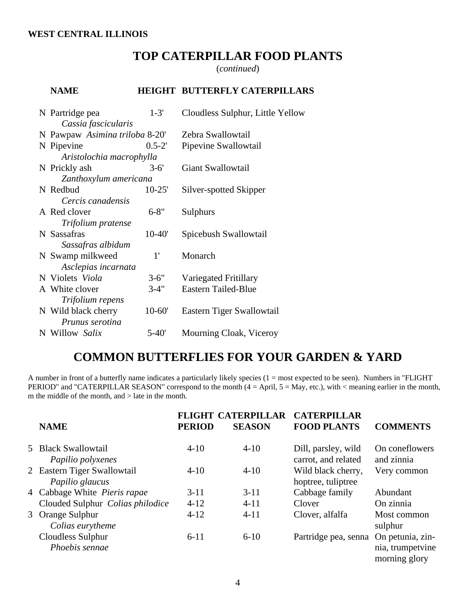### **TOP CATERPILLAR FOOD PLANTS**

(*continued*)

#### **NAME HEIGHT BUTTERFLY CATERPILLARS**

| N Partridge pea                | $1 - 3'$   | Cloudless Sulphur, Little Yellow |
|--------------------------------|------------|----------------------------------|
| Cassia fascicularis            |            |                                  |
| N Pawpaw Asimina triloba 8-20' |            | Zebra Swallowtail                |
| N Pipevine                     | $0.5 - 2'$ | Pipevine Swallowtail             |
| Aristolochia macrophylla       |            |                                  |
| N Prickly ash                  | $3-6'$     | Giant Swallowtail                |
| Zanthoxylum americana          |            |                                  |
| N Redbud                       | $10-25'$   | Silver-spotted Skipper           |
| Cercis canadensis              |            |                                  |
| A Red clover                   | $6 - 8"$   | Sulphurs                         |
| Trifolium pratense             |            |                                  |
| N Sassafras                    | $10 - 40'$ | Spicebush Swallowtail            |
| Sassafras albidum              |            |                                  |
| N Swamp milkweed               | 1'         | Monarch                          |
| Asclepias incarnata            |            |                                  |
| N Violets Viola                | $3 - 6"$   | Variegated Fritillary            |
| A White clover                 | $3 - 4"$   | Eastern Tailed-Blue              |
| Trifolium repens               |            |                                  |
| N Wild black cherry            | $10-60'$   | Eastern Tiger Swallowtail        |
| Prunus serotina                |            |                                  |
| N Willow Salix                 | 5-40'      | Mourning Cloak, Viceroy          |

### **COMMON BUTTERFLIES FOR YOUR GARDEN & YARD**

A number in front of a butterfly name indicates a particularly likely species  $(1 = most expected to be seen)$ . Numbers in "FLIGHT PERIOD" and "CATERPILLAR SEASON" correspond to the month (4 = April, 5 = May, etc.), with < meaning earlier in the month, m the middle of the month, and > late in the month.

| <b>NAME</b>                                    | <b>FLIGHT</b><br><b>PERIOD</b> | <b>CATERPILLAR</b><br><b>SEASON</b> | <b>CATERPILLAR</b><br><b>FOOD PLANTS</b>   | <b>COMMENTS</b>                                       |
|------------------------------------------------|--------------------------------|-------------------------------------|--------------------------------------------|-------------------------------------------------------|
| 5 Black Swallowtail<br>Papilio polyxenes       | $4 - 10$                       | $4 - 10$                            | Dill, parsley, wild<br>carrot, and related | On coneflowers<br>and zinnia                          |
| 2 Eastern Tiger Swallowtail<br>Papilio glaucus | $4 - 10$                       | $4 - 10$                            | Wild black cherry,<br>hoptree, tuliptree   | Very common                                           |
| 4 Cabbage White Pieris rapae                   | $3 - 11$                       | $3 - 11$                            | Cabbage family                             | Abundant                                              |
| Clouded Sulphur Colias philodice               | $4-12$                         | $4 - 11$                            | Clover                                     | On zinnia                                             |
| 3 Orange Sulphur<br>Colias eurytheme           | $4 - 12$                       | $4 - 11$                            | Clover, alfalfa                            | Most common<br>sulphur                                |
| Cloudless Sulphur<br>Phoebis sennae            | $6 - 11$                       | $6 - 10$                            | Partridge pea, senna                       | On petunia, zin-<br>nia, trumpetvine<br>morning glory |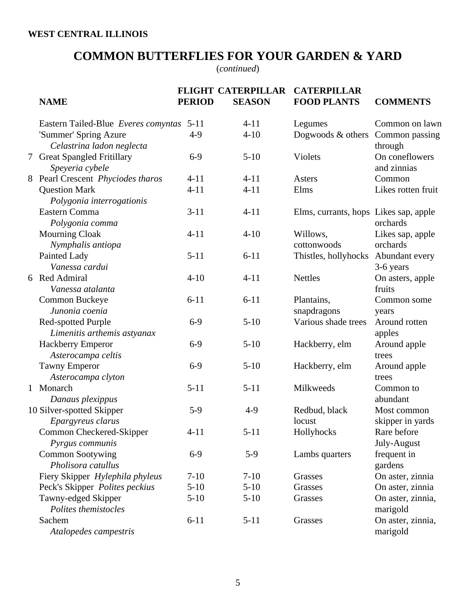## **COMMON BUTTERFLIES FOR YOUR GARDEN & YARD**

(*continued*)

|   | <b>NAME</b>                                         | <b>PERIOD</b> | <b>FLIGHT CATERPILLAR</b><br><b>SEASON</b> | <b>CATERPILLAR</b><br><b>FOOD PLANTS</b> | <b>COMMENTS</b>                 |
|---|-----------------------------------------------------|---------------|--------------------------------------------|------------------------------------------|---------------------------------|
|   | Eastern Tailed-Blue Everes comyntas                 | $5 - 11$      | $4 - 11$                                   | Legumes                                  | Common on lawn                  |
|   | 'Summer' Spring Azure<br>Celastrina ladon neglecta  | $4-9$         | $4 - 10$                                   | Dogwoods & others                        | Common passing<br>through       |
| 7 | <b>Great Spangled Fritillary</b><br>Speyeria cybele | $6-9$         | $5-10$                                     | Violets                                  | On coneflowers<br>and zinnias   |
|   | 8 Pearl Crescent Phyciodes tharos                   | $4 - 11$      | $4 - 11$                                   | Asters                                   | Common                          |
|   | <b>Question Mark</b><br>Polygonia interrogationis   | $4 - 11$      | $4 - 11$                                   | Elms                                     | Likes rotten fruit              |
|   | Eastern Comma<br>Polygonia comma                    | $3 - 11$      | $4 - 11$                                   | Elms, currants, hops Likes sap, apple    | orchards                        |
|   | <b>Mourning Cloak</b><br>Nymphalis antiopa          | $4 - 11$      | $4 - 10$                                   | Willows,<br>cottonwoods                  | Likes sap, apple<br>orchards    |
|   | Painted Lady<br>Vanessa cardui                      | $5 - 11$      | $6 - 11$                                   | Thistles, hollyhocks                     | Abundant every<br>3-6 years     |
|   | 6 Red Admiral<br>Vanessa atalanta                   | $4 - 10$      | $4 - 11$                                   | <b>Nettles</b>                           | On asters, apple<br>fruits      |
|   | Common Buckeye<br>Junonia coenia                    | $6 - 11$      | $6 - 11$                                   | Plantains,<br>snapdragons                | Common some<br>years            |
|   | Red-spotted Purple<br>Limenitis arthemis astyanax   | $6-9$         | $5 - 10$                                   | Various shade trees                      | Around rotten<br>apples         |
|   | Hackberry Emperor<br>Asterocampa celtis             | $6-9$         | $5 - 10$                                   | Hackberry, elm                           | Around apple<br>trees           |
|   | <b>Tawny Emperor</b><br>Asterocampa clyton          | $6-9$         | $5 - 10$                                   | Hackberry, elm                           | Around apple<br>trees           |
|   | 1 Monarch<br>Danaus plexippus                       | $5 - 11$      | $5 - 11$                                   | Milkweeds                                | Common to<br>abundant           |
|   | 10 Silver-spotted Skipper<br>Epargyreus clarus      | $5-9$         | $4-9$                                      | Redbud, black<br>locust                  | Most common<br>skipper in yards |
|   | Common Checkered-Skipper<br>Pyrgus communis         | $4 - 11$      | $5 - 11$                                   | Hollyhocks                               | Rare before<br>July-August      |
|   | <b>Common Sootywing</b><br>Pholisora catullus       | $6-9$         | $5-9$                                      | Lambs quarters                           | frequent in<br>gardens          |
|   | Fiery Skipper Hylephila phyleus                     | $7 - 10$      | $7 - 10$                                   | Grasses                                  | On aster, zinnia                |
|   | Peck's Skipper Polites peckius                      | $5 - 10$      | $5 - 10$                                   | Grasses                                  | On aster, zinnia                |
|   | Tawny-edged Skipper<br>Polites themistocles         | $5 - 10$      | $5 - 10$                                   | Grasses                                  | On aster, zinnia,<br>marigold   |
|   | Sachem<br>Atalopedes campestris                     | $6 - 11$      | $5 - 11$                                   | Grasses                                  | On aster, zinnia,<br>marigold   |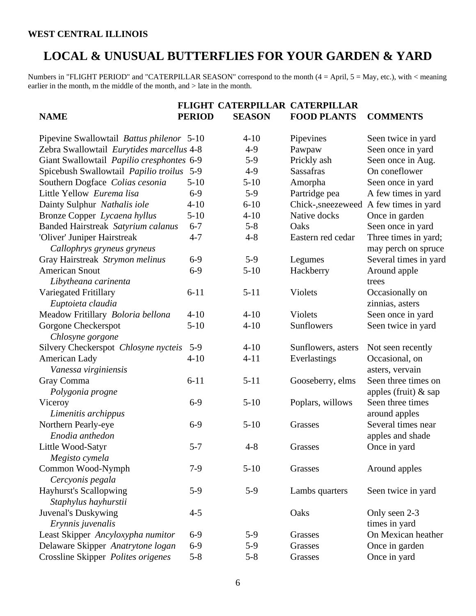#### **WEST CENTRAL ILLINOIS**

### **LOCAL & UNUSUAL BUTTERFLIES FOR YOUR GARDEN & YARD**

Numbers in "FLIGHT PERIOD" and "CATERPILLAR SEASON" correspond to the month (4 = April, 5 = May, etc.), with < meaning earlier in the month, m the middle of the month, and  $>$  late in the month.

|                                                           |               | FLIGHT CATERPILLAR CATERPILLAR |                    |                                             |
|-----------------------------------------------------------|---------------|--------------------------------|--------------------|---------------------------------------------|
| <b>NAME</b>                                               | <b>PERIOD</b> | <b>SEASON</b>                  | <b>FOOD PLANTS</b> | <b>COMMENTS</b>                             |
| Pipevine Swallowtail Battus philenor 5-10                 |               | $4 - 10$                       | Pipevines          | Seen twice in yard                          |
| Zebra Swallowtail Eurytides marcellus 4-8                 |               | $4-9$                          | Pawpaw             | Seen once in yard                           |
| Giant Swallowtail Papilio cresphontes 6-9                 |               | $5-9$                          | Prickly ash        | Seen once in Aug.                           |
| Spicebush Swallowtail Papilio troilus 5-9                 |               | $4-9$                          | <b>Sassafras</b>   | On coneflower                               |
| Southern Dogface Colias cesonia                           | $5 - 10$      | $5 - 10$                       | Amorpha            | Seen once in yard                           |
| Little Yellow Eurema lisa                                 | $6-9$         | $5-9$                          | Partridge pea      | A few times in yard                         |
| Dainty Sulphur Nathalis iole                              | $4 - 10$      | $6 - 10$                       | Chick-, sneezeweed | A few times in yard                         |
| Bronze Copper Lycaena hyllus                              | $5 - 10$      | $4 - 10$                       | Native docks       | Once in garden                              |
| Banded Hairstreak Satyrium calanus                        | $6 - 7$       | $5 - 8$                        | Oaks               | Seen once in yard                           |
| 'Oliver' Juniper Hairstreak<br>Callophrys gryneus gryneus | $4 - 7$       | $4 - 8$                        | Eastern red cedar  | Three times in yard;<br>may perch on spruce |
| Gray Hairstreak Strymon melinus                           | $6-9$         | $5-9$                          | Legumes            | Several times in yard                       |
| <b>American Snout</b>                                     | $6 - 9$       | $5 - 10$                       | Hackberry          | Around apple                                |
| Libytheana carinenta                                      |               |                                |                    | trees                                       |
| Variegated Fritillary                                     | $6 - 11$      | $5 - 11$                       | Violets            | Occasionally on                             |
| Euptoieta claudia                                         |               |                                |                    | zinnias, asters                             |
| Meadow Fritillary Boloria bellona                         | $4 - 10$      | $4 - 10$                       | <b>Violets</b>     | Seen once in yard                           |
| Gorgone Checkerspot<br>Chlosyne gorgone                   | $5 - 10$      | $4 - 10$                       | Sunflowers         | Seen twice in yard                          |
| Silvery Checkerspot Chlosyne nycteis                      | $5-9$         | $4 - 10$                       | Sunflowers, asters | Not seen recently                           |
| American Lady                                             | $4 - 10$      | $4 - 11$                       | Everlastings       | Occasional, on                              |
| Vanessa virginiensis                                      |               |                                |                    | asters, vervain                             |
| Gray Comma                                                | $6 - 11$      | $5 - 11$                       | Gooseberry, elms   | Seen three times on                         |
| Polygonia progne                                          |               |                                |                    | apples (fruit) $&$ sap                      |
| Viceroy                                                   | $6-9$         | $5 - 10$                       | Poplars, willows   | Seen three times                            |
| Limenitis archippus                                       |               |                                |                    | around apples                               |
| Northern Pearly-eye                                       | $6-9$         | $5 - 10$                       | Grasses            | Several times near                          |
| Enodia anthedon                                           |               |                                |                    | apples and shade                            |
| Little Wood-Satyr                                         | $5 - 7$       | $4 - 8$                        | Grasses            | Once in yard                                |
| Megisto cymela                                            |               |                                |                    |                                             |
| Common Wood-Nymph                                         | $7-9$         | $5 - 10$                       | Grasses            | Around apples                               |
| Cercyonis pegala                                          |               |                                |                    |                                             |
| <b>Hayhurst's Scallopwing</b>                             | $5-9$         | $5-9$                          | Lambs quarters     | Seen twice in yard                          |
| Staphylus hayhurstii                                      |               |                                |                    |                                             |
| Juvenal's Duskywing                                       | $4 - 5$       |                                | Oaks               | Only seen 2-3                               |
| Erynnis juvenalis                                         |               |                                |                    | times in yard                               |
| Least Skipper Ancyloxypha numitor                         | $6-9$         | $5-9$                          | Grasses            | On Mexican heather                          |
| Delaware Skipper Anatrytone logan                         | $6-9$         | $5-9$                          | Grasses            | Once in garden                              |
| Crossline Skipper Polites origenes                        | $5 - 8$       | $5 - 8$                        | Grasses            | Once in yard                                |
|                                                           |               |                                |                    |                                             |